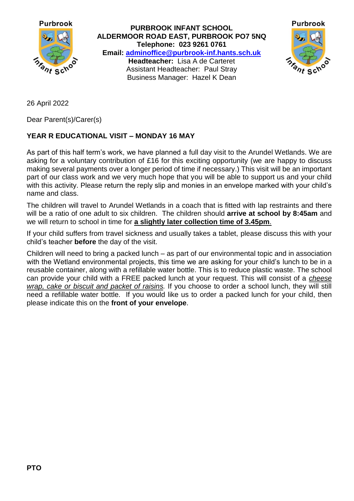

**PURBROOK INFANT SCHOOL ALDERMOOR ROAD EAST, PURBROOK PO7 5NQ Telephone: 023 9261 0761 Email: [adminoffice@purbrook-inf.hants.sch.uk](mailto:adminoffice@purbrook-inf.hants.sch.uk) Headteacher:** Lisa A de Carteret Assistant Headteacher: Paul Stray Business Manager: Hazel K Dean



26 April 2022

Dear Parent(s)/Carer(s)

## **YEAR R EDUCATIONAL VISIT – MONDAY 16 MAY**

As part of this half term's work, we have planned a full day visit to the Arundel Wetlands. We are asking for a voluntary contribution of £16 for this exciting opportunity (we are happy to discuss making several payments over a longer period of time if necessary.) This visit will be an important part of our class work and we very much hope that you will be able to support us and your child with this activity. Please return the reply slip and monies in an envelope marked with your child's name and class.

The children will travel to Arundel Wetlands in a coach that is fitted with lap restraints and there will be a ratio of one adult to six children. The children should **arrive at school by 8:45am** and we will return to school in time for **a slightly later collection time of 3.45pm**.

If your child suffers from travel sickness and usually takes a tablet, please discuss this with your child's teacher **before** the day of the visit.

Children will need to bring a packed lunch – as part of our environmental topic and in association with the Wetland environmental projects, this time we are asking for your child's lunch to be in a reusable container, along with a refillable water bottle. This is to reduce plastic waste. The school can provide your child with a FREE packed lunch at your request. This will consist of a *cheese wrap, cake or biscuit and packet of raisins.* If you choose to order a school lunch, they will still need a refillable water bottle. If you would like us to order a packed lunch for your child, then please indicate this on the **front of your envelope**.